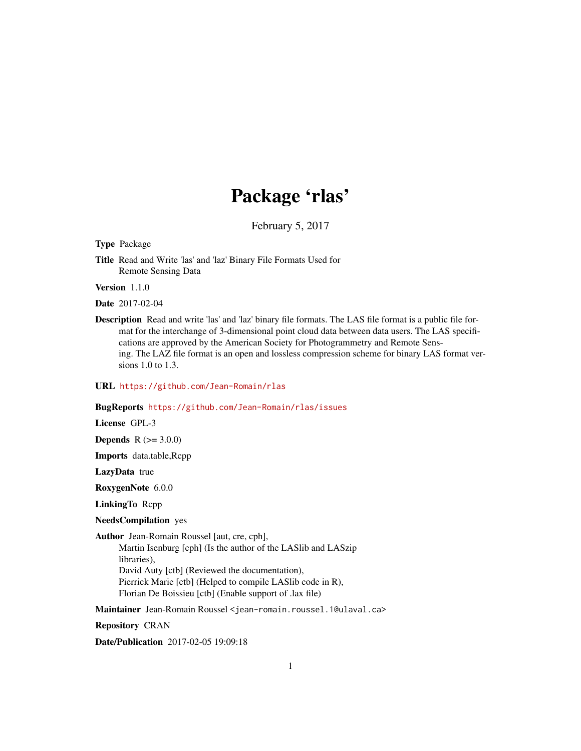# Package 'rlas'

February 5, 2017

Type Package

Title Read and Write 'las' and 'laz' Binary File Formats Used for Remote Sensing Data

Version 1.1.0

Date 2017-02-04

Description Read and write 'las' and 'laz' binary file formats. The LAS file format is a public file format for the interchange of 3-dimensional point cloud data between data users. The LAS specifications are approved by the American Society for Photogrammetry and Remote Sensing. The LAZ file format is an open and lossless compression scheme for binary LAS format versions 1.0 to 1.3.

URL <https://github.com/Jean-Romain/rlas>

#### BugReports <https://github.com/Jean-Romain/rlas/issues>

License GPL-3

**Depends**  $R (= 3.0.0)$ 

Imports data.table,Rcpp

LazyData true

RoxygenNote 6.0.0

LinkingTo Rcpp

NeedsCompilation yes

Author Jean-Romain Roussel [aut, cre, cph], Martin Isenburg [cph] (Is the author of the LASlib and LASzip libraries), David Auty [ctb] (Reviewed the documentation), Pierrick Marie [ctb] (Helped to compile LASlib code in R), Florian De Boissieu [ctb] (Enable support of .lax file)

Maintainer Jean-Romain Roussel <jean-romain.roussel.1@ulaval.ca>

Repository CRAN

Date/Publication 2017-02-05 19:09:18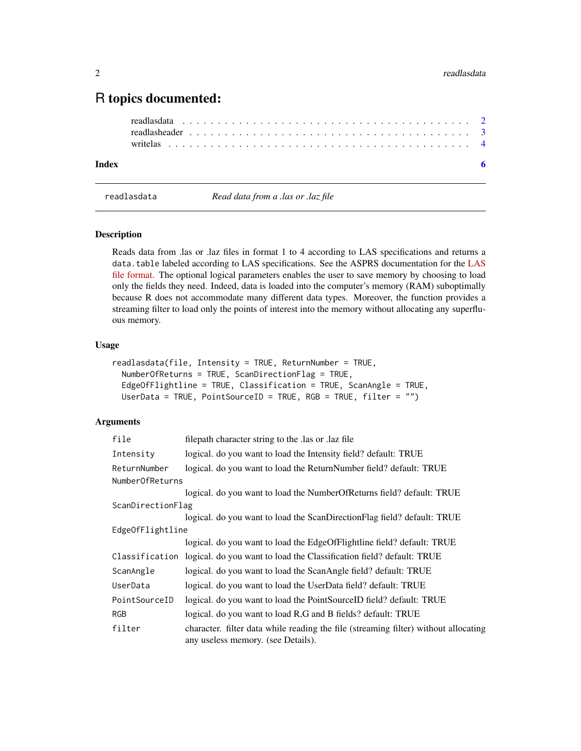# <span id="page-1-0"></span>R topics documented:

#### **Index** [6](#page-5-0) **6**

<span id="page-1-1"></span>

readlasdata *Read data from a .las or .laz file*

## **Description**

Reads data from .las or .laz files in format 1 to 4 according to LAS specifications and returns a data.table labeled according to LAS specifications. See the ASPRS documentation for the [LAS](http://www.asprs.org/a/society/committees/standards/LAS_1_4_r13.pdf) [file format.](http://www.asprs.org/a/society/committees/standards/LAS_1_4_r13.pdf) The optional logical parameters enables the user to save memory by choosing to load only the fields they need. Indeed, data is loaded into the computer's memory (RAM) suboptimally because R does not accommodate many different data types. Moreover, the function provides a streaming filter to load only the points of interest into the memory without allocating any superfluous memory.

#### Usage

```
readlasdata(file, Intensity = TRUE, ReturnNumber = TRUE,
 NumberOfReturns = TRUE, ScanDirectionFlag = TRUE,
 EdgeOfFlightline = TRUE, Classification = TRUE, ScanAngle = TRUE,
 UserData = TRUE, PointSourceID = TRUE, RGB = TRUE, filter = "")
```
# Arguments

| file                   | filepath character string to the las or laz file                                                                          |
|------------------------|---------------------------------------------------------------------------------------------------------------------------|
| Intensity              | logical. do you want to load the Intensity field? default: TRUE                                                           |
| ReturnNumber           | logical. do you want to load the ReturnNumber field? default: TRUE                                                        |
| <b>NumberOfReturns</b> |                                                                                                                           |
|                        | logical. do you want to load the NumberOfReturns field? default: TRUE                                                     |
| ScanDirectionFlag      |                                                                                                                           |
|                        | logical. do you want to load the ScanDirectionFlag field? default: TRUE                                                   |
| EdgeOfFlightline       |                                                                                                                           |
|                        | logical. do you want to load the EdgeOfFlightline field? default: TRUE                                                    |
|                        | Classification logical. do you want to load the Classification field? default: TRUE                                       |
| ScanAngle              | logical. do you want to load the ScanAngle field? default: TRUE                                                           |
| UserData               | logical. do you want to load the UserData field? default: TRUE                                                            |
| PointSourceID          | logical. do you want to load the PointSourceID field? default: TRUE                                                       |
| RGB                    | logical. do you want to load R,G and B fields? default: TRUE                                                              |
| filter                 | character. filter data while reading the file (streaming filter) without allocating<br>any useless memory. (see Details). |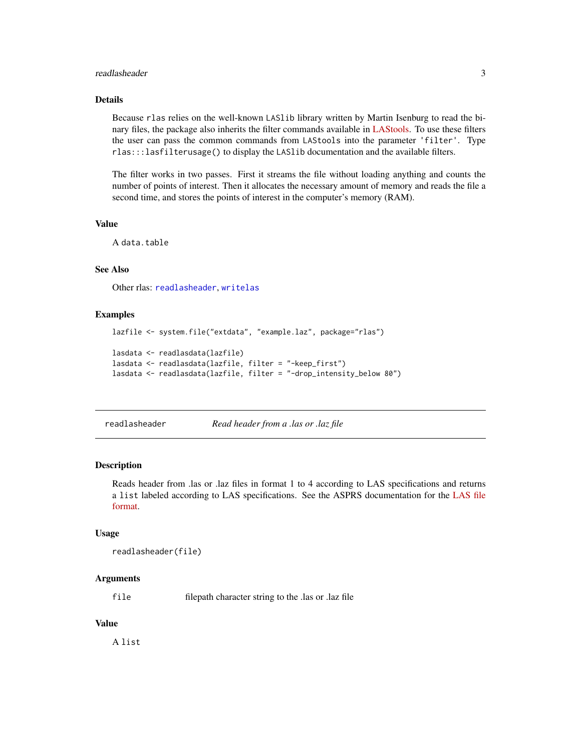#### <span id="page-2-0"></span>readlasheader 3

#### Details

Because rlas relies on the well-known LASlib library written by Martin Isenburg to read the binary files, the package also inherits the filter commands available in [LAStools.](https://rapidlasso.com/lastools/) To use these filters the user can pass the common commands from LAStools into the parameter 'filter'. Type rlas:::lasfilterusage() to display the LASlib documentation and the available filters.

The filter works in two passes. First it streams the file without loading anything and counts the number of points of interest. Then it allocates the necessary amount of memory and reads the file a second time, and stores the points of interest in the computer's memory (RAM).

#### Value

A data.table

# See Also

Other rlas: [readlasheader](#page-2-1), [writelas](#page-3-1)

#### Examples

```
lazfile <- system.file("extdata", "example.laz", package="rlas")
lasdata <- readlasdata(lazfile)
lasdata <- readlasdata(lazfile, filter = "-keep_first")
lasdata <- readlasdata(lazfile, filter = "-drop_intensity_below 80")
```
<span id="page-2-1"></span>

readlasheader *Read header from a .las or .laz file*

#### **Description**

Reads header from .las or .laz files in format 1 to 4 according to LAS specifications and returns a list labeled according to LAS specifications. See the ASPRS documentation for the [LAS file](http://www.asprs.org/a/society/committees/standards/LAS_1_4_r13.pdf) [format.](http://www.asprs.org/a/society/committees/standards/LAS_1_4_r13.pdf)

#### Usage

```
readlasheader(file)
```
#### Arguments

file filepath character string to the .las or .laz file

#### Value

A list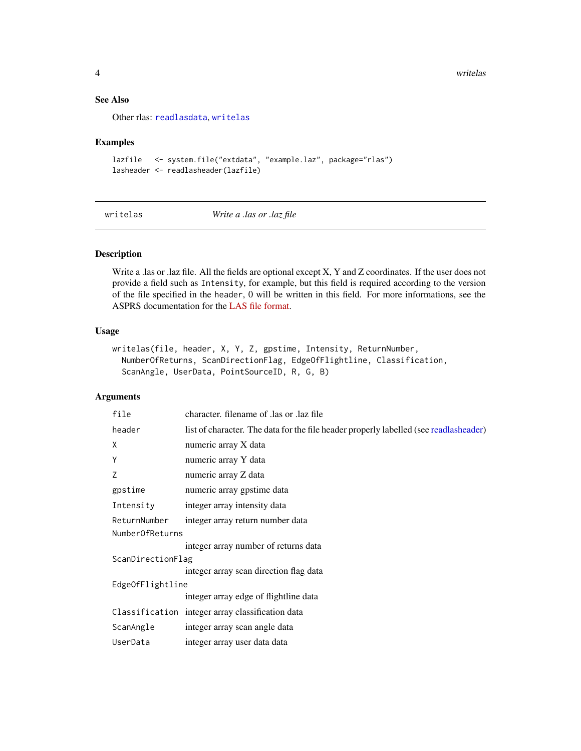#### <span id="page-3-0"></span>See Also

Other rlas: [readlasdata](#page-1-1), [writelas](#page-3-1)

#### Examples

```
lazfile <- system.file("extdata", "example.laz", package="rlas")
lasheader <- readlasheader(lazfile)
```
<span id="page-3-1"></span>writelas *Write a .las or .laz file*

## Description

Write a .las or .laz file. All the fields are optional except X, Y and Z coordinates. If the user does not provide a field such as Intensity, for example, but this field is required according to the version of the file specified in the header, 0 will be written in this field. For more informations, see the ASPRS documentation for the [LAS file format.](http://www.asprs.org/a/society/committees/standards/LAS_1_4_r13.pdf)

# Usage

```
writelas(file, header, X, Y, Z, gpstime, Intensity, ReturnNumber,
 NumberOfReturns, ScanDirectionFlag, EdgeOfFlightline, Classification,
  ScanAngle, UserData, PointSourceID, R, G, B)
```
# Arguments

| file              | character. filename of las or laz file                                                |  |  |  |  |  |  |  |
|-------------------|---------------------------------------------------------------------------------------|--|--|--|--|--|--|--|
| header            | list of character. The data for the file header properly labelled (see readlasheader) |  |  |  |  |  |  |  |
| X                 | numeric array X data                                                                  |  |  |  |  |  |  |  |
| Y                 | numeric array Y data                                                                  |  |  |  |  |  |  |  |
| Z                 | numeric array Z data                                                                  |  |  |  |  |  |  |  |
| gpstime           | numeric array gpstime data                                                            |  |  |  |  |  |  |  |
| Intensity         | integer array intensity data                                                          |  |  |  |  |  |  |  |
| ReturnNumber      | integer array return number data                                                      |  |  |  |  |  |  |  |
| NumberOfReturns   |                                                                                       |  |  |  |  |  |  |  |
|                   | integer array number of returns data                                                  |  |  |  |  |  |  |  |
| ScanDirectionFlag |                                                                                       |  |  |  |  |  |  |  |
|                   | integer array scan direction flag data                                                |  |  |  |  |  |  |  |
| EdgeOfFlightline  |                                                                                       |  |  |  |  |  |  |  |
|                   | integer array edge of flightline data                                                 |  |  |  |  |  |  |  |
|                   | Classification integer array classification data                                      |  |  |  |  |  |  |  |
| ScanAngle         | integer array scan angle data                                                         |  |  |  |  |  |  |  |
| UserData          | integer array user data data                                                          |  |  |  |  |  |  |  |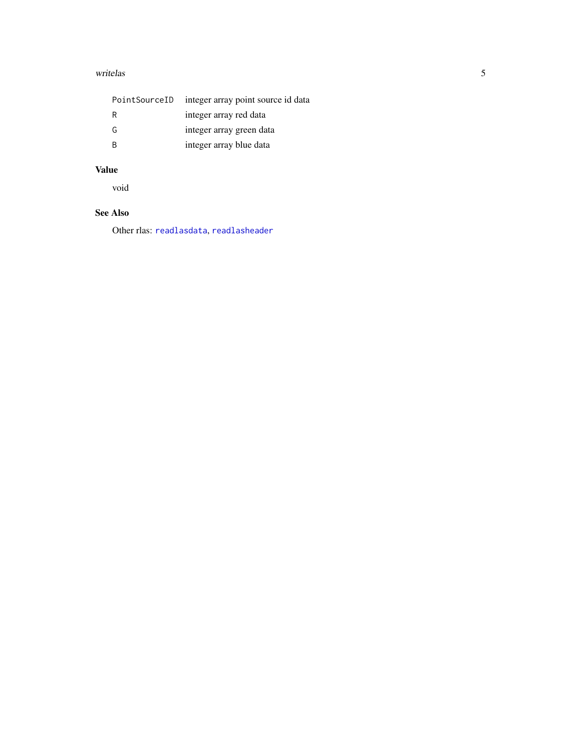#### <span id="page-4-0"></span>writelas 5

| PointSourceID | integer array point source id data |
|---------------|------------------------------------|
| R             | integer array red data             |
| G             | integer array green data           |
| <b>B</b>      | integer array blue data            |

#### Value

void

# See Also

Other rlas: [readlasdata](#page-1-1), [readlasheader](#page-2-1)